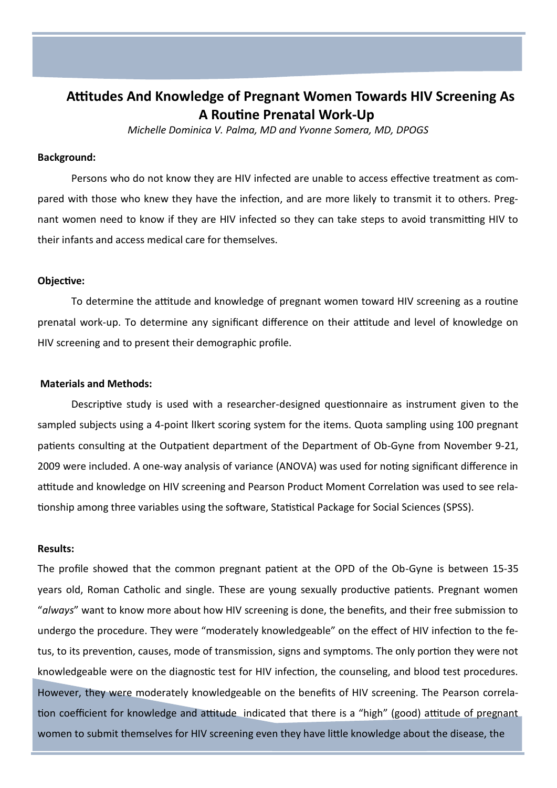## **Attitudes And Knowledge of Pregnant Women Towards HIV Screening As A Routine Prenatal Work-Up**

*Michelle Dominica V. Palma, MD and Yvonne Somera, MD, DPOGS*

#### **Background:**

Persons who do not know they are HIV infected are unable to access effective treatment as compared with those who knew they have the infection, and are more likely to transmit it to others. Pregnant women need to know if they are HIV infected so they can take steps to avoid transmitting HIV to their infants and access medical care for themselves.

#### **Objective:**

To determine the attitude and knowledge of pregnant women toward HIV screening as a routine prenatal work-up. To determine any significant difference on their attitude and level of knowledge on HIV screening and to present their demographic profile.

#### **Materials and Methods:**

Descriptive study is used with a researcher-designed questionnaire as instrument given to the sampled subjects using a 4-point lIkert scoring system for the items. Quota sampling using 100 pregnant patients consulting at the Outpatient department of the Department of Ob-Gyne from November 9-21, 2009 were included. A one-way analysis of variance (ANOVA) was used for noting significant difference in attitude and knowledge on HIV screening and Pearson Product Moment Correlation was used to see relationship among three variables using the software, Statistical Package for Social Sciences (SPSS).

#### **Results:**

The profile showed that the common pregnant patient at the OPD of the Ob-Gyne is between 15-35 years old, Roman Catholic and single. These are young sexually productive patients. Pregnant women "*always*" want to know more about how HIV screening is done, the benefits, and their free submission to undergo the procedure. They were "moderately knowledgeable" on the effect of HIV infection to the fetus, to its prevention, causes, mode of transmission, signs and symptoms. The only portion they were not knowledgeable were on the diagnostic test for HIV infection, the counseling, and blood test procedures. However, they were moderately knowledgeable on the benefits of HIV screening. The Pearson correlation coefficient for knowledge and attitude indicated that there is a "high" (good) attitude of pregnant women to submit themselves for HIV screening even they have little knowledge about the disease, the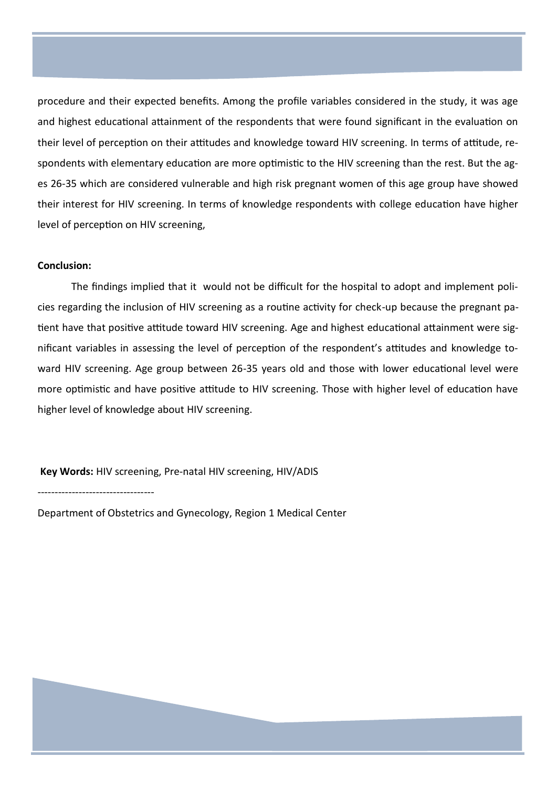procedure and their expected benefits. Among the profile variables considered in the study, it was age and highest educational attainment of the respondents that were found significant in the evaluation on their level of perception on their attitudes and knowledge toward HIV screening. In terms of attitude, respondents with elementary education are more optimistic to the HIV screening than the rest. But the ages 26-35 which are considered vulnerable and high risk pregnant women of this age group have showed their interest for HIV screening. In terms of knowledge respondents with college education have higher level of perception on HIV screening,

#### **Conclusion:**

The findings implied that it would not be difficult for the hospital to adopt and implement policies regarding the inclusion of HIV screening as a routine activity for check-up because the pregnant patient have that positive attitude toward HIV screening. Age and highest educational attainment were significant variables in assessing the level of perception of the respondent's attitudes and knowledge toward HIV screening. Age group between 26-35 years old and those with lower educational level were more optimistic and have positive attitude to HIV screening. Those with higher level of education have higher level of knowledge about HIV screening.

**Key Words:** HIV screening, Pre-natal HIV screening, HIV/ADIS

----------------------------------

Department of Obstetrics and Gynecology, Region 1 Medical Center

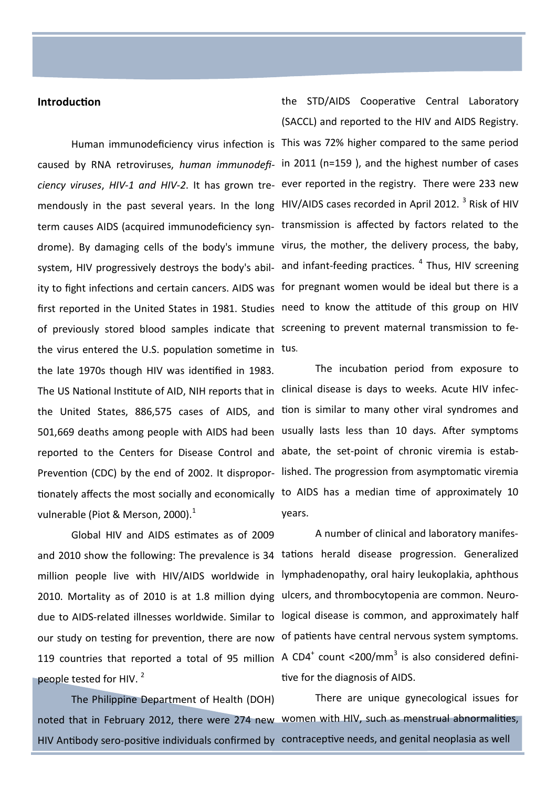#### **Introduction**

of previously stored blood samples indicate that screening to prevent maternal transmission to fethe virus entered the U.S. population sometime in tus. the late 1970s though HIV was identified in 1983. The US National Institute of AID, NIH reports that in clinical disease is days to weeks. Acute HIV infecreported to the [Centers for Disease Control and](http://www.cdc.gov)  abate, the set-point of chronic viremia is estabvulnerable (Piot & Merson, 2000). $1$ 

Global HIV and AIDS estimates as of 2009 2010. Mortality as of 2010 is at 1.8 million dying ulcers, and thrombocytopenia are common. Neuro-119 countries that reported a total of 95 million A CD4<sup>+</sup> count <200/mm<sup>3</sup> is also considered definipeople tested for HIV.<sup>2</sup>

The Philippine Department of Health (DOH)

Human immunodeficiency virus infection is This was 72% higher compared to the same period caused by RNA retroviruses, *human immunodefi-*in 2011 (n=159 ), and the highest number of cases *ciency viruses*, *HIV-1 and HIV-2*. It has grown tre-ever reported in the registry. There were 233 new mendously in the past several years. In the long HIV/AIDS cases recorded in April 2012. <sup>3</sup> Risk of HIV term causes AIDS (acquired immunodeficiency syn- transmission is affected by factors related to the drome). By damaging cells of the body's immune virus, the mother, the delivery process, the baby, system, HIV progressively destroys the body's abil- and infant-feeding practices. <sup>4</sup> Thus, HIV screening ity to fight infections and certain cancers. AIDS was for pregnant women would be ideal but there is a first reported in the United States in 1981. Studies need to know the attitude of this group on HIV the STD/AIDS Cooperative Central Laboratory (SACCL) and reported to the HIV and AIDS Registry.

the United States, 886,575 cases of AIDS, and tion is similar to many other viral syndromes and 501,669 deaths among people with AIDS had been usually lasts less than 10 days. After symptoms [Prevention \(CDC\)](http://www.cdc.gov) by the end of 2002. It dispropor- lished. The progression from asymptomatic viremia tionately affects the most socially and economically to AIDS has a median time of approximately 10 The incubation period from exposure to years.

and 2010 show the following: The prevalence is 34 tations herald disease progression. Generalized million people live with HIV/AIDS worldwide in lymphadenopathy, oral hairy leukoplakia, aphthous due to AIDS-related illnesses worldwide. Similar to logical disease is common, and approximately half our study on testing for prevention, there are now of patients have central nervous system symptoms. A number of clinical and laboratory manifestive for the diagnosis of AIDS.

noted that in February 2012, there were 274 new women with HIV, such as menstrual abnormalities, HIV Antibody sero-positive individuals confirmed by contraceptive needs, and genital neoplasia as well There are unique gynecological issues for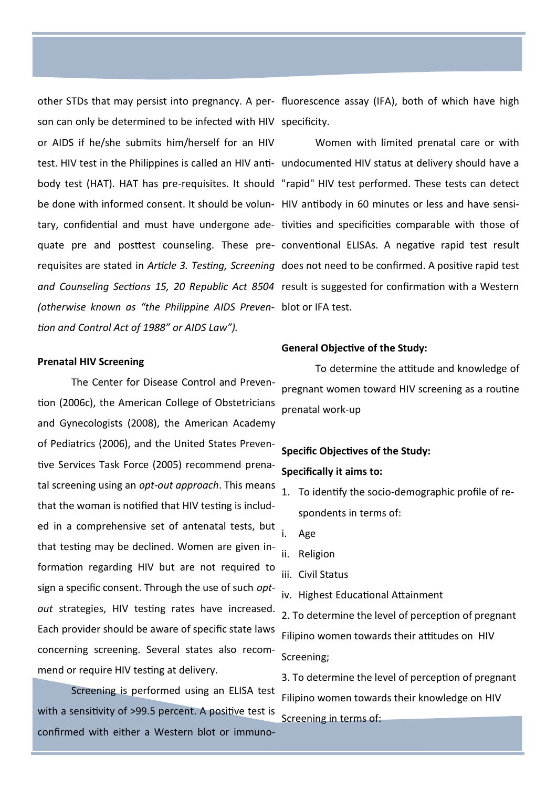son can only be determined to be infected with HIV specificity.

or AIDS if he/she submits him/herself for an HIV be done with informed consent. It should be volun-HIV antibody in 60 minutes or less and have sensi-*(otherwise known as "the Philippine AIDS Preven-*blot or IFA test. *tion and Control Act of 1988" or AIDS Law").*

#### **Prenatal HIV Screening**

The Center for Disease Control and Prevention (2006c), the American College of Obstetricians and Gynecologists (2008), the American Academy of Pediatrics (2006), and the United States Preventive Services Task Force (2005) recommend prenatal screening using an *opt-out approach*. This means that the woman is notified that HIV testing is included in a comprehensive set of antenatal tests, but that testing may be declined. Women are given information regarding HIV but are not required to sign a specific consent. Through the use of such *optout* strategies, HIV testing rates have increased. Each provider should be aware of specific state laws concerning screening. Several states also recommend or require HIV testing at delivery.

Screening is performed using an ELISA test with a sensitivity of >99.5 percent. A positive test is confirmed with either a Western blot or immuno-

other STDs that may persist into pregnancy. A per-fluorescence assay (IFA), both of which have high

test. HIV test in the Philippines is called an HIV anti-undocumented HIV status at delivery should have a body test (HAT). HAT has pre-requisites. It should "rapid" HIV test performed. These tests can detect tary, confidential and must have undergone ade- tivities and specificities comparable with those of quate pre and posttest counseling. These pre-conventional ELISAs. A negative rapid test result requisites are stated in *Article 3. Testing, Screening*  does not need to be confirmed. A positive rapid test and Counseling Sections 15, 20 Republic Act 8504 result is suggested for confirmation with a Western Women with limited prenatal care or with

#### **General Objective of the Study:**

To determine the attitude and knowledge of pregnant women toward HIV screening as a routine prenatal work-up

## **Specific Objectives of the Study:**

### **Specifically it aims to:**

- 1. To identify the socio-demographic profile of respondents in terms of:
- i. Age
- ii. Religion
- iii. Civil Status
- iv. Highest Educational Attainment

2. To determine the level of perception of pregnant Filipino women towards their attitudes on HIV Screening;

3. To determine the level of perception of pregnant Filipino women towards their knowledge on HIV Screening in terms of: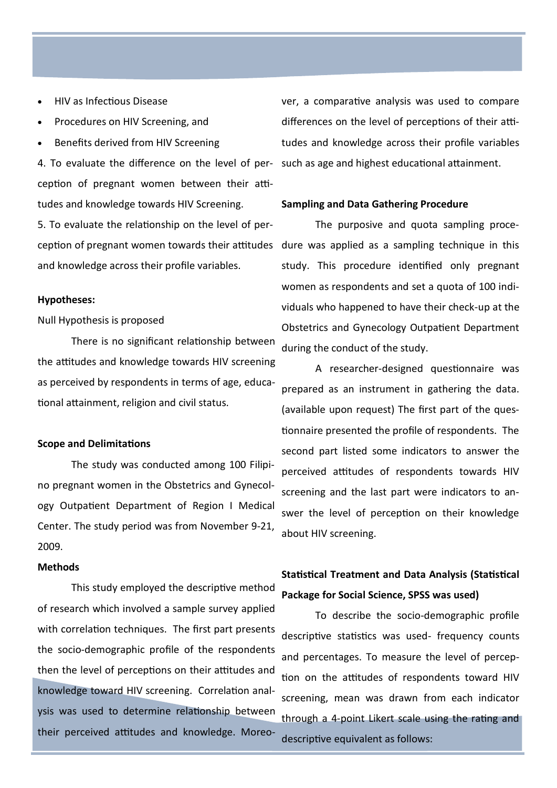- HIV as Infectious Disease
- Procedures on HIV Screening, and
- Benefits derived from HIV Screening

4. To evaluate the difference on the level of perception of pregnant women between their attitudes and knowledge towards HIV Screening.

5. To evaluate the relationship on the level of perception of pregnant women towards their attitudes and knowledge across their profile variables.

#### **Hypotheses:**

#### Null Hypothesis is proposed

There is no significant relationship between the attitudes and knowledge towards HIV screening as perceived by respondents in terms of age, educational attainment, religion and civil status.

#### **Scope and Delimitations**

The study was conducted among 100 Filipino pregnant women in the Obstetrics and Gynecology Outpatient Department of Region I Medical Center. The study period was from November 9-21, 2009.

#### **Methods**

This study employed the descriptive method of research which involved a sample survey applied with correlation techniques. The first part presents the socio-demographic profile of the respondents then the level of perceptions on their attitudes and knowledge toward HIV screening. Correlation analysis was used to determine relationship between their perceived attitudes and knowledge. Moreo-

ver, a comparative analysis was used to compare differences on the level of perceptions of their attitudes and knowledge across their profile variables such as age and highest educational attainment.

#### **Sampling and Data Gathering Procedure**

The purposive and quota sampling procedure was applied as a sampling technique in this study. This procedure identified only pregnant women as respondents and set a quota of 100 individuals who happened to have their check-up at the Obstetrics and Gynecology Outpatient Department during the conduct of the study.

A researcher-designed questionnaire was prepared as an instrument in gathering the data. (available upon request) The first part of the questionnaire presented the profile of respondents. The second part listed some indicators to answer the perceived attitudes of respondents towards HIV screening and the last part were indicators to answer the level of perception on their knowledge about HIV screening.

## **Statistical Treatment and Data Analysis (Statistical Package for Social Science, SPSS was used)**

To describe the socio-demographic profile descriptive statistics was used- frequency counts and percentages. To measure the level of perception on the attitudes of respondents toward HIV screening, mean was drawn from each indicator through a 4-point Likert scale using the rating and descriptive equivalent as follows: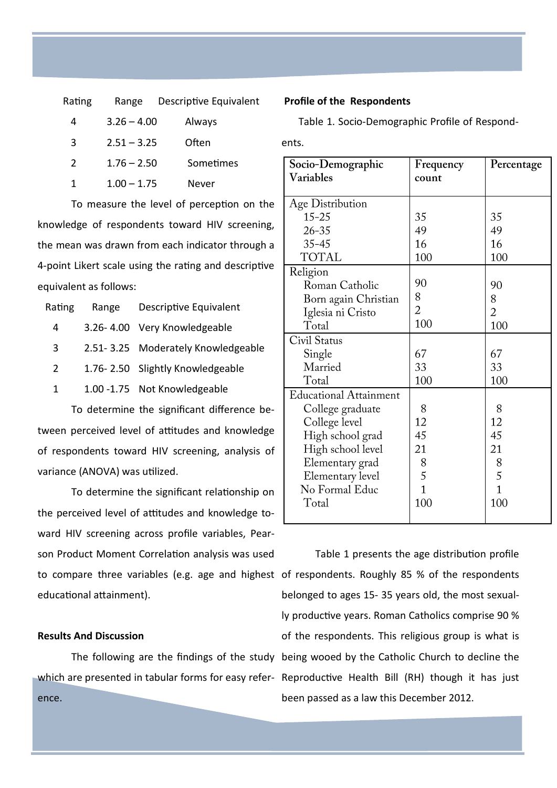| Rating        | Range         | Descriptive Equivalent |
|---------------|---------------|------------------------|
| 4             | $3.26 - 4.00$ | Always                 |
| 3             | $2.51 - 3.25$ | Often                  |
| $\mathcal{P}$ | $1.76 - 2.50$ | Sometimes              |
| 1             | $1.00 - 1.75$ | Never                  |

To measure the level of perception on the knowledge of respondents toward HIV screening, the mean was drawn from each indicator through a 4-point Likert scale using the rating and descriptive equivalent as follows:

| Rating        | Range | Descriptive Equivalent             |
|---------------|-------|------------------------------------|
| 4             |       | 3.26-4.00 Very Knowledgeable       |
| 3             |       | 2.51-3.25 Moderately Knowledgeable |
| $\mathcal{P}$ |       | 1.76-2.50 Slightly Knowledgeable   |
| $\mathbf{1}$  |       | 1.00 -1.75 Not Knowledgeable       |
|               |       |                                    |

To determine the significant difference between perceived level of attitudes and knowledge of respondents toward HIV screening, analysis of variance (ANOVA) was utilized.

To determine the significant relationship on the perceived level of attitudes and knowledge toward HIV screening across profile variables, Pearson Product Moment Correlation analysis was used to compare three variables (e.g. age and highest of respondents. Roughly 85 % of the respondents educational attainment).

#### **Results And Discussion**

ence.

#### **Profile of the Respondents**

Table 1. Socio-Demographic Profile of Respond-

ents.

| Socio-Demographic             | Frequency      | Percentage     |
|-------------------------------|----------------|----------------|
| Variables                     | count          |                |
|                               |                |                |
| Age Distribution              |                |                |
| $15 - 25$                     | 35             | 35             |
| $26 - 35$                     | 49             | 49             |
| $35 - 45$                     | 16             | 16             |
| <b>TOTAL</b>                  | 100            | 100            |
| Religion                      |                |                |
| Roman Catholic                | 90             | 90             |
| Born again Christian          | 8              | 8              |
| Iglesia ni Cristo             | $\overline{2}$ | $\overline{2}$ |
| Total                         | 100            | 100            |
| Civil Status                  |                |                |
| Single                        | 67             | 67             |
| Married                       | 33             | 33             |
| Total                         | 100            | 100            |
| <b>Educational Attainment</b> |                |                |
| College graduate              | 8              | 8              |
| College level                 | 12             | 12             |
| High school grad              | 45             | 45             |
| High school level             | 21             | 21             |
| Elementary grad               | 8              | 8              |
| Elementary level              | 5              | 5              |
| No Formal Educ                | $\overline{1}$ | $\overline{1}$ |
| Total                         | 100            | 100            |
|                               |                |                |

The following are the findings of the study being wooed by the Catholic Church to decline the which are presented in tabular forms for easy refer-Reproductive Health Bill (RH) though it has just Table 1 presents the age distribution profile belonged to ages 15- 35 years old, the most sexually productive years. Roman Catholics comprise 90 % of the respondents. This religious group is what is been passed as a law this December 2012.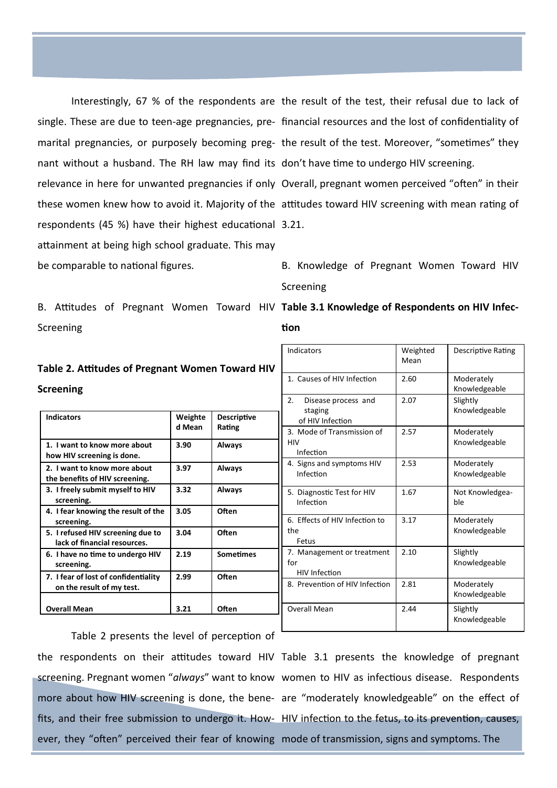nant without a husband. The RH law may find its don't have time to undergo HIV screening. relevance in here for unwanted pregnancies if only Overall, pregnant women perceived "often" in their respondents (45 %) have their highest educational 3.21. attainment at being high school graduate. This may be comparable to national figures.

Screening

## **Table 2. Attitudes of Pregnant Women Toward HIV Screening**

| <b>Indicators</b>                                                 | Weighte<br>d Mean | <b>Descriptive</b><br>Rating |
|-------------------------------------------------------------------|-------------------|------------------------------|
| 1. I want to know more about<br>how HIV screening is done.        | 3.90              | Always                       |
| 2. I want to know more about<br>the benefits of HIV screening.    | 3.97              | Always                       |
| 3. I freely submit myself to HIV<br>screening.                    | 3.32              | Always                       |
| 4. I fear knowing the result of the<br>screening.                 | 3.05              | Often                        |
| 5. I refused HIV screening due to<br>lack of financial resources. | 3.04              | Often                        |
| 6. I have no time to undergo HIV<br>screening.                    | 2.19              | <b>Sometimes</b>             |
| 7. I fear of lost of confidentiality<br>on the result of my test. | 2.99              | Often                        |
| <b>Overall Mean</b>                                               | 3.21              | Often                        |

Interestingly, 67 % of the respondents are the result of the test, their refusal due to lack of single. These are due to teen-age pregnancies, pre-financial resources and the lost of confidentiality of marital pregnancies, or purposely becoming preg-the result of the test. Moreover, "sometimes" they

these women knew how to avoid it. Majority of the attitudes toward HIV screening with mean rating of

B. Knowledge of Pregnant Women Toward HIV Screening

| Indicators                                                | Weighted<br>Mean | Descriptive Rating          |
|-----------------------------------------------------------|------------------|-----------------------------|
| 1. Causes of HIV Infection                                | 2.60             | Moderately<br>Knowledgeable |
| 2.<br>Disease process and<br>staging<br>of HIV Infection  | 2.07             | Slightly<br>Knowledgeable   |
| 3. Mode of Transmission of<br><b>HIV</b><br>Infection     | 2.57             | Moderately<br>Knowledgeable |
| 4. Signs and symptoms HIV<br>Infection                    | 2.53             | Moderately<br>Knowledgeable |
| 5. Diagnostic Test for HIV<br>Infection                   | 1.67             | Not Knowledgea-<br>ble      |
| 6. Effects of HIV Infection to<br>the<br>Fetus            | 3.17             | Moderately<br>Knowledgeable |
| 7. Management or treatment<br>for<br><b>HIV Infection</b> | 2.10             | Slightly<br>Knowledgeable   |
| 8. Prevention of HIV Infection                            | 2.81             | Moderately<br>Knowledgeable |
| <b>Overall Mean</b>                                       | 2.44             | Slightly<br>Knowledgeable   |

B. Attitudes of Pregnant Women Toward HIV Table 3.1 Knowledge of Respondents on HIV Infec**tion**

Table 2 presents the level of perception of the respondents on their attitudes toward HIV Table 3.1 presents the knowledge of pregnant

screening. Pregnant women "*always*" want to know women to HIV as infectious disease. Respondents more about how HIV screening is done, the bene- are "moderately knowledgeable" on the effect of fits, and their free submission to undergo it. How- HIV infection to the fetus, to its prevention, causes, ever, they "often" perceived their fear of knowing mode of transmission, signs and symptoms. The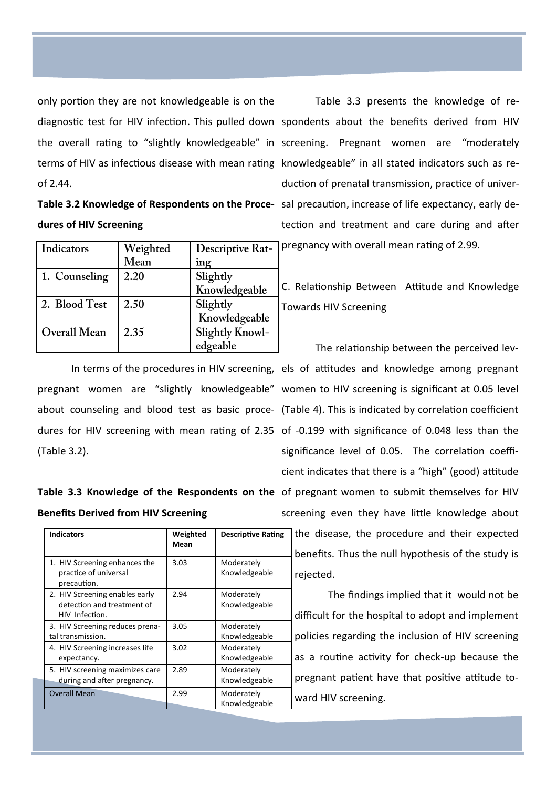only portion they are not knowledgeable is on the diagnostic test for HIV infection. This pulled down spondents about the benefits derived from HIV the overall rating to "slightly knowledgeable" in screening. Pregnant women are "moderately terms of HIV as infectious disease with mean rating knowledgeable" in all stated indicators such as reof 2.44.

| Table 3.2 Knowledge of Respondents on the Proce- |  |
|--------------------------------------------------|--|
| dures of HIV Screening                           |  |

| Indicators    | Weighted | <b>Descriptive Rat-</b> | 1p |
|---------------|----------|-------------------------|----|
|               | Mean     | ing                     |    |
| 1. Counseling | 2.20     | Slightly                |    |
|               |          | Knowledgeable           | C  |
| 2. Blood Test | 2.50     | Slightly                |    |
|               |          | Knowledgeable           |    |
| Overall Mean  | 2.35     | <b>Slightly Knowl-</b>  |    |
|               |          | edgeable                |    |

pregnant women are "slightly knowledgeable" women to HIV screening is significant at 0.05 level about counseling and blood test as basic proce-(Table 4). This is indicated by correlation coefficient dures for HIV screening with mean rating of 2.35 of -0.199 with significance of 0.048 less than the (Table 3.2).

# **Benefits Derived from HIV Screening**

| <b>Indicators</b>                                                              | Weighted<br>Mean | <b>Descriptive Rating</b>   | the disea              |
|--------------------------------------------------------------------------------|------------------|-----------------------------|------------------------|
| 1. HIV Screening enhances the<br>practice of universal<br>precaution.          | 3.03             | Moderately<br>Knowledgeable | benefits.<br>rejected. |
| 2. HIV Screening enables early<br>detection and treatment of<br>HIV Infection. | 2.94             | Moderately<br>Knowledgeable | Tł<br>difficult fo     |
| 3. HIV Screening reduces prena-<br>tal transmission.                           | 3.05             | Moderately<br>Knowledgeable | policies r             |
| 4. HIV Screening increases life<br>expectancy.                                 | 3.02             | Moderately<br>Knowledgeable | as a rout              |
| 5. HIV screening maximizes care<br>during and after pregnancy.                 | 2.89             | Moderately<br>Knowledgeable | pregnant               |
| <b>Overall Mean</b>                                                            | 2.99             | Moderately<br>Knowledgeable | ward HIV               |

Table 3.3 presents the knowledge of reduction of prenatal transmission, practice of universal precaution, increase of life expectancy, early detection and treatment and care during and after pregnancy with overall mean rating of 2.99.

. Relationship Between Attitude and Knowledge owards HIV Screening

In terms of the procedures in HIV screening, els of attitudes and knowledge among pregnant Table 3.3 Knowledge of the Respondents on the of pregnant women to submit themselves for HIV The relationship between the perceived levsignificance level of 0.05. The correlation coefficient indicates that there is a "high" (good) attitude screening even they have little knowledge about the disease, the procedure and their expected benefits. Thus the null hypothesis of the study is

> The findings implied that it would not be difficult for the hospital to adopt and implement policies regarding the inclusion of HIV screening as a routine activity for check-up because the pregnant patient have that positive attitude toward HIV screening.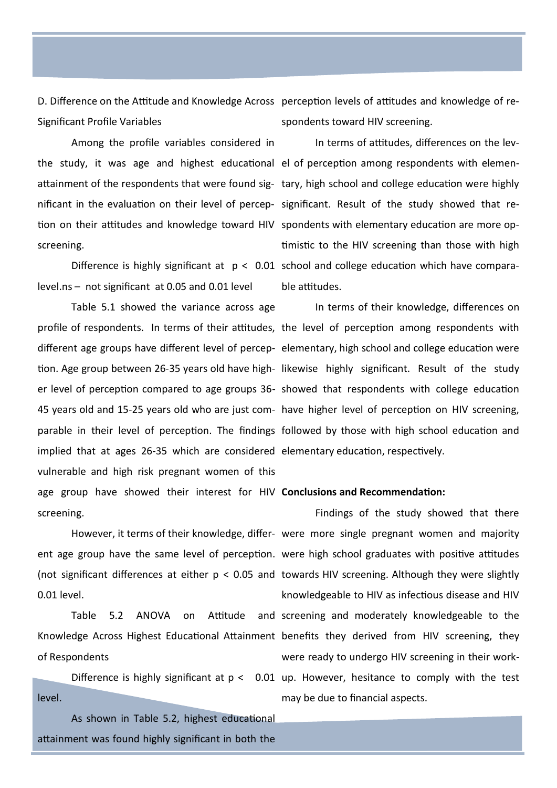Significant Profile Variables

Among the profile variables considered in screening.

level.ns – not significant at 0.05 and 0.01 level

Table 5.1 showed the variance across age implied that at ages 26-35 which are considered elementary education, respectively. vulnerable and high risk pregnant women of this age group have showed their interest for HIV **Conclusions and Recommendation:** screening.

0.01 level.

of Respondents

level.

As shown in Table 5.2, highest educational attainment was found highly significant in both the

D. Difference on the Attitude and Knowledge Across perception levels of attitudes and knowledge of respondents toward HIV screening.

the study, it was age and highest educational el of perception among respondents with elemenattainment of the respondents that were found sig- tary, high school and college education were highly nificant in the evaluation on their level of percep- significant. Result of the study showed that retion on their attitudes and knowledge toward HIV spondents with elementary education are more op-Difference is highly significant at  $p < 0.01$  school and college education which have compara-In terms of attitudes, differences on the levtimistic to the HIV screening than those with high ble attitudes.

profile of respondents. In terms of their attitudes, the level of perception among respondents with different age groups have different level of percep-elementary, high school and college education were tion. Age group between 26-35 years old have high- likewise highly significant. Result of the study er level of perception compared to age groups 36- showed that respondents with college education 45 years old and 15-25 years old who are just com-have higher level of perception on HIV screening, parable in their level of perception. The findings followed by those with high school education and In terms of their knowledge, differences on

However, it terms of their knowledge, differ-were more single pregnant women and majority ent age group have the same level of perception. were high school graduates with positive attitudes (not significant differences at either p < 0.05 and towards HIV screening. Although they were slightly Table 5.2 ANOVA on Attitude and screening and moderately knowledgeable to the Knowledge Across Highest Educational Attainment benefits they derived from HIV screening, they Difference is highly significant at  $p < 0.01$  up. However, hesitance to comply with the test Findings of the study showed that there knowledgeable to HIV as infectious disease and HIV were ready to undergo HIV screening in their workmay be due to financial aspects.